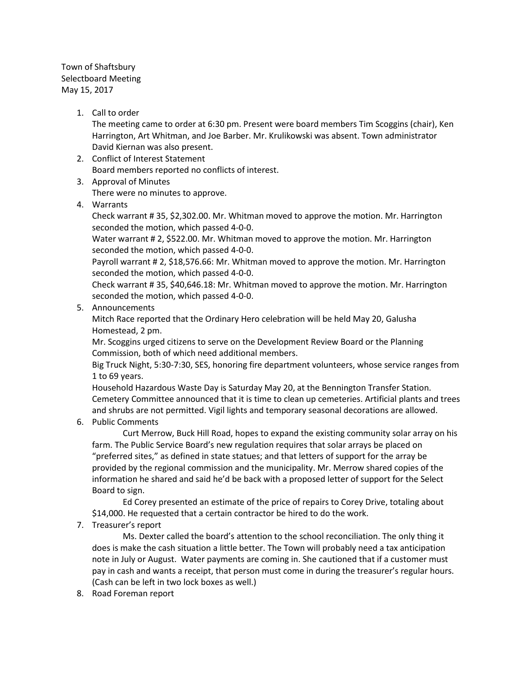Town of Shaftsbury Selectboard Meeting May 15, 2017

1. Call to order

The meeting came to order at 6:30 pm. Present were board members Tim Scoggins (chair), Ken Harrington, Art Whitman, and Joe Barber. Mr. Krulikowski was absent. Town administrator David Kiernan was also present.

- 2. Conflict of Interest Statement Board members reported no conflicts of interest.
- 3. Approval of Minutes

There were no minutes to approve.

4. Warrants

Check warrant # 35, \$2,302.00. Mr. Whitman moved to approve the motion. Mr. Harrington seconded the motion, which passed 4-0-0.

Water warrant # 2, \$522.00. Mr. Whitman moved to approve the motion. Mr. Harrington seconded the motion, which passed 4-0-0.

Payroll warrant # 2, \$18,576.66: Mr. Whitman moved to approve the motion. Mr. Harrington seconded the motion, which passed 4-0-0.

Check warrant # 35, \$40,646.18: Mr. Whitman moved to approve the motion. Mr. Harrington seconded the motion, which passed 4-0-0.

5. Announcements

Mitch Race reported that the Ordinary Hero celebration will be held May 20, Galusha Homestead, 2 pm.

Mr. Scoggins urged citizens to serve on the Development Review Board or the Planning Commission, both of which need additional members.

Big Truck Night, 5:30-7:30, SES, honoring fire department volunteers, whose service ranges from 1 to 69 years.

Household Hazardous Waste Day is Saturday May 20, at the Bennington Transfer Station. Cemetery Committee announced that it is time to clean up cemeteries. Artificial plants and trees and shrubs are not permitted. Vigil lights and temporary seasonal decorations are allowed.

6. Public Comments

Curt Merrow, Buck Hill Road, hopes to expand the existing community solar array on his farm. The Public Service Board's new regulation requires that solar arrays be placed on "preferred sites," as defined in state statues; and that letters of support for the array be provided by the regional commission and the municipality. Mr. Merrow shared copies of the information he shared and said he'd be back with a proposed letter of support for the Select Board to sign.

Ed Corey presented an estimate of the price of repairs to Corey Drive, totaling about \$14,000. He requested that a certain contractor be hired to do the work.

7. Treasurer's report

Ms. Dexter called the board's attention to the school reconciliation. The only thing it does is make the cash situation a little better. The Town will probably need a tax anticipation note in July or August. Water payments are coming in. She cautioned that if a customer must pay in cash and wants a receipt, that person must come in during the treasurer's regular hours. (Cash can be left in two lock boxes as well.)

8. Road Foreman report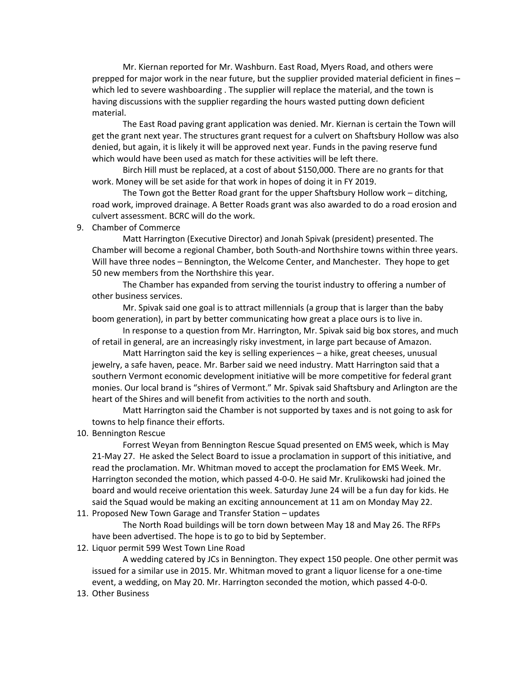Mr. Kiernan reported for Mr. Washburn. East Road, Myers Road, and others were prepped for major work in the near future, but the supplier provided material deficient in fines – which led to severe washboarding . The supplier will replace the material, and the town is having discussions with the supplier regarding the hours wasted putting down deficient material.

The East Road paving grant application was denied. Mr. Kiernan is certain the Town will get the grant next year. The structures grant request for a culvert on Shaftsbury Hollow was also denied, but again, it is likely it will be approved next year. Funds in the paving reserve fund which would have been used as match for these activities will be left there.

Birch Hill must be replaced, at a cost of about \$150,000. There are no grants for that work. Money will be set aside for that work in hopes of doing it in FY 2019.

The Town got the Better Road grant for the upper Shaftsbury Hollow work – ditching, road work, improved drainage. A Better Roads grant was also awarded to do a road erosion and culvert assessment. BCRC will do the work.

## 9. Chamber of Commerce

Matt Harrington (Executive Director) and Jonah Spivak (president) presented. The Chamber will become a regional Chamber, both South-and Northshire towns within three years. Will have three nodes – Bennington, the Welcome Center, and Manchester. They hope to get 50 new members from the Northshire this year.

The Chamber has expanded from serving the tourist industry to offering a number of other business services.

Mr. Spivak said one goal is to attract millennials (a group that is larger than the baby boom generation), in part by better communicating how great a place ours is to live in.

In response to a question from Mr. Harrington, Mr. Spivak said big box stores, and much of retail in general, are an increasingly risky investment, in large part because of Amazon.

Matt Harrington said the key is selling experiences – a hike, great cheeses, unusual jewelry, a safe haven, peace. Mr. Barber said we need industry. Matt Harrington said that a southern Vermont economic development initiative will be more competitive for federal grant monies. Our local brand is "shires of Vermont." Mr. Spivak said Shaftsbury and Arlington are the heart of the Shires and will benefit from activities to the north and south.

Matt Harrington said the Chamber is not supported by taxes and is not going to ask for towns to help finance their efforts.

10. Bennington Rescue

Forrest Weyan from Bennington Rescue Squad presented on EMS week, which is May 21-May 27. He asked the Select Board to issue a proclamation in support of this initiative, and read the proclamation. Mr. Whitman moved to accept the proclamation for EMS Week. Mr. Harrington seconded the motion, which passed 4-0-0. He said Mr. Krulikowski had joined the board and would receive orientation this week. Saturday June 24 will be a fun day for kids. He said the Squad would be making an exciting announcement at 11 am on Monday May 22.

11. Proposed New Town Garage and Transfer Station – updates

The North Road buildings will be torn down between May 18 and May 26. The RFPs have been advertised. The hope is to go to bid by September.

# 12. Liquor permit 599 West Town Line Road

A wedding catered by JCs in Bennington. They expect 150 people. One other permit was issued for a similar use in 2015. Mr. Whitman moved to grant a liquor license for a one-time event, a wedding, on May 20. Mr. Harrington seconded the motion, which passed 4-0-0.

13. Other Business